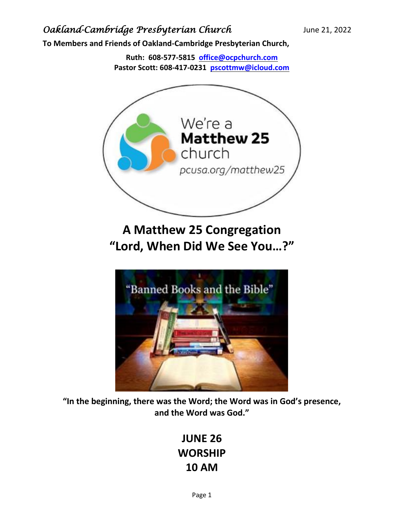**To Members and Friends of Oakland-Cambridge Presbyterian Church,**

**Ruth: 608-577-5815 [office@ocpchurch.com](mailto:office@ocpchurch.com) Pastor Scott: 608-417-0231 [pscottmw@icloud.com](mailto:pscottmw@icloud.com)**



**A Matthew 25 Congregation "Lord, When Did We See You…?"**



**"In the beginning, there was the Word; the Word was in God's presence, and the Word was God."**

# **JUNE 26 WORSHIP 10 AM**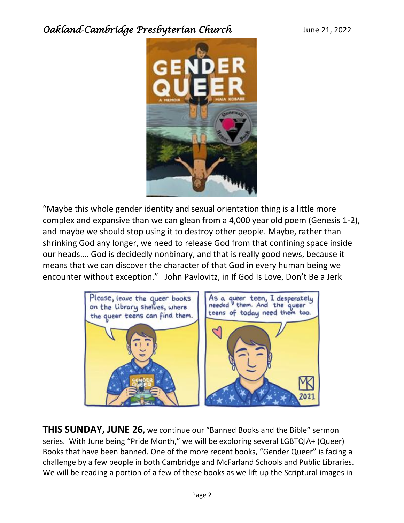

"Maybe this whole gender identity and sexual orientation thing is a little more complex and expansive than we can glean from a 4,000 year old poem (Genesis 1-2), and maybe we should stop using it to destroy other people. Maybe, rather than shrinking God any longer, we need to release God from that confining space inside our heads.… God is decidedly nonbinary, and that is really good news, because it means that we can discover the character of that God in every human being we encounter without exception." John Pavlovitz, in If God Is Love, Don't Be a Jerk



**THIS SUNDAY, JUNE 26,** we continue our "Banned Books and the Bible" sermon series. With June being "Pride Month," we will be exploring several LGBTQIA+ (Queer) Books that have been banned. One of the more recent books, "Gender Queer" is facing a challenge by a few people in both Cambridge and McFarland Schools and Public Libraries. We will be reading a portion of a few of these books as we lift up the Scriptural images in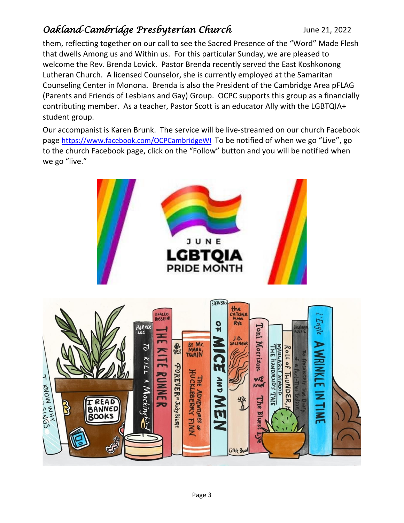them, reflecting together on our call to see the Sacred Presence of the "Word" Made Flesh that dwells Among us and Within us. For this particular Sunday, we are pleased to welcome the Rev. Brenda Lovick. Pastor Brenda recently served the East Koshkonong Lutheran Church. A licensed Counselor, she is currently employed at the Samaritan Counseling Center in Monona. Brenda is also the President of the Cambridge Area pFLAG (Parents and Friends of Lesbians and Gay) Group. OCPC supports this group as a financially contributing member. As a teacher, Pastor Scott is an educator Ally with the LGBTQIA+ student group.

Our accompanist is Karen Brunk. The service will be live-streamed on our church Facebook page <https://www.facebook.com/OCPCambridgeWI> To be notified of when we go "Live", go to the church Facebook page, click on the "Follow" button and you will be notified when we go "live."

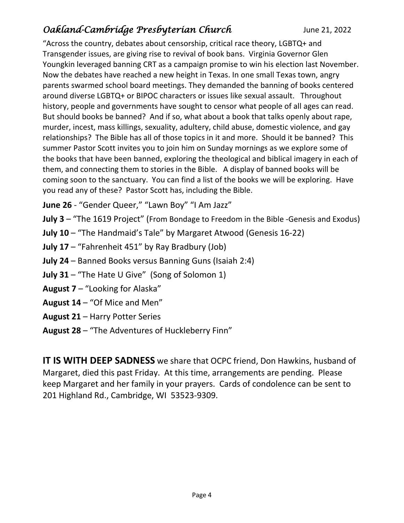"Across the country, debates about censorship, critical race theory, LGBTQ+ and Transgender issues, are giving rise to revival of book bans. Virginia Governor Glen Youngkin leveraged banning CRT as a campaign promise to win his election last November. Now the debates have reached a new height in Texas. In one small Texas town, angry parents swarmed school board meetings. They demanded the banning of books centered around diverse LGBTQ+ or BIPOC characters or issues like sexual assault. Throughout history, people and governments have sought to censor what people of all ages can read. But should books be banned? And if so, what about a book that talks openly about rape, murder, incest, mass killings, sexuality, adultery, child abuse, domestic violence, and gay relationships? The Bible has all of those topics in it and more. Should it be banned? This summer Pastor Scott invites you to join him on Sunday mornings as we explore some of the books that have been banned, exploring the theological and biblical imagery in each of them, and connecting them to stories in the Bible. A display of banned books will be coming soon to the sanctuary. You can find a list of the books we will be exploring. Have you read any of these? Pastor Scott has, including the Bible.

**June 26** - "Gender Queer," "Lawn Boy" "I Am Jazz"

- **July 3** "The 1619 Project" (From Bondage to Freedom in the Bible -Genesis and Exodus)
- **July 10** "The Handmaid's Tale" by Margaret Atwood (Genesis 16-22)
- **July 17** "Fahrenheit 451" by Ray Bradbury (Job)
- **July 24** Banned Books versus Banning Guns (Isaiah 2:4)
- **July 31** "The Hate U Give" (Song of Solomon 1)
- **August 7** "Looking for Alaska"
- **August 14** "Of Mice and Men"
- **August 21** Harry Potter Series
- **August 28** "The Adventures of Huckleberry Finn"

**IT IS WITH DEEP SADNESS** we share that OCPC friend, Don Hawkins, husband of Margaret, died this past Friday. At this time, arrangements are pending. Please keep Margaret and her family in your prayers. Cards of condolence can be sent to 201 Highland Rd., Cambridge, WI 53523-9309.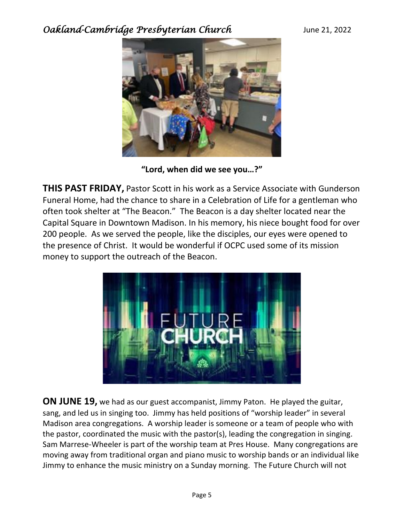

**"Lord, when did we see you…?"**

**THIS PAST FRIDAY,** Pastor Scott in his work as a Service Associate with Gunderson Funeral Home, had the chance to share in a Celebration of Life for a gentleman who often took shelter at "The Beacon." The Beacon is a day shelter located near the Capital Square in Downtown Madison. In his memory, his niece bought food for over 200 people. As we served the people, like the disciples, our eyes were opened to the presence of Christ. It would be wonderful if OCPC used some of its mission money to support the outreach of the Beacon.



**ON JUNE 19,** we had as our guest accompanist, Jimmy Paton. He played the guitar, sang, and led us in singing too. Jimmy has held positions of "worship leader" in several Madison area congregations. A worship leader is someone or a team of people who with the pastor, coordinated the music with the pastor(s), leading the congregation in singing. Sam Marrese-Wheeler is part of the worship team at Pres House. Many congregations are moving away from traditional organ and piano music to worship bands or an individual like Jimmy to enhance the music ministry on a Sunday morning. The Future Church will not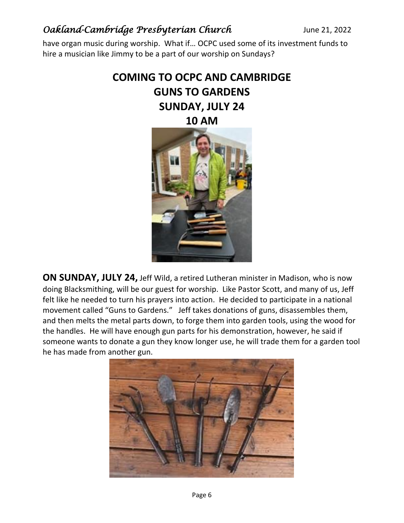have organ music during worship. What if… OCPC used some of its investment funds to hire a musician like Jimmy to be a part of our worship on Sundays?

# **COMING TO OCPC AND CAMBRIDGE GUNS TO GARDENS SUNDAY, JULY 24 10 AM**



**ON SUNDAY, JULY 24,** Jeff Wild, a retired Lutheran minister in Madison, who is now doing Blacksmithing, will be our guest for worship. Like Pastor Scott, and many of us, Jeff felt like he needed to turn his prayers into action. He decided to participate in a national movement called "Guns to Gardens." Jeff takes donations of guns, disassembles them, and then melts the metal parts down, to forge them into garden tools, using the wood for the handles. He will have enough gun parts for his demonstration, however, he said if someone wants to donate a gun they know longer use, he will trade them for a garden tool he has made from another gun.

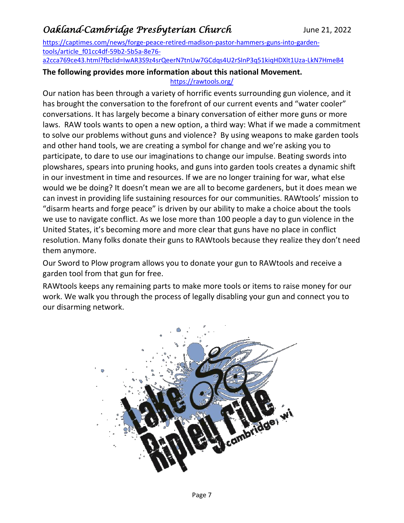[https://captimes.com/news/forge-peace-retired-madison-pastor-hammers-guns-into-garden](https://captimes.com/news/forge-peace-retired-madison-pastor-hammers-guns-into-garden-tools/article_f01cc4df-59b2-5b5a-8e76-a2cca769ce43.html?fbclid=IwAR3S9z4srQeerN7tnUw7GCdqs4U2rSInP3q51kiqHDXlt1Uza-LkN7HmeB4)[tools/article\\_f01cc4df-59b2-5b5a-8e76-](https://captimes.com/news/forge-peace-retired-madison-pastor-hammers-guns-into-garden-tools/article_f01cc4df-59b2-5b5a-8e76-a2cca769ce43.html?fbclid=IwAR3S9z4srQeerN7tnUw7GCdqs4U2rSInP3q51kiqHDXlt1Uza-LkN7HmeB4)

[a2cca769ce43.html?fbclid=IwAR3S9z4srQeerN7tnUw7GCdqs4U2rSInP3q51kiqHDXlt1Uza-LkN7HmeB4](https://captimes.com/news/forge-peace-retired-madison-pastor-hammers-guns-into-garden-tools/article_f01cc4df-59b2-5b5a-8e76-a2cca769ce43.html?fbclid=IwAR3S9z4srQeerN7tnUw7GCdqs4U2rSInP3q51kiqHDXlt1Uza-LkN7HmeB4)

#### **The following provides more information about this national Movement.**  <https://rawtools.org/>

Our nation has been through a variety of horrific events surrounding gun violence, and it has brought the conversation to the forefront of our current events and "water cooler" conversations. It has largely become a binary conversation of either more guns or more laws. RAW tools wants to open a new option, a third way: What if we made a commitment to solve our problems without guns and violence? By using weapons to make garden tools and other hand tools, we are creating a symbol for change and we're asking you to participate, to dare to use our imaginations to change our impulse. Beating swords into plowshares, spears into pruning hooks, and guns into garden tools creates a dynamic shift in our investment in time and resources. If we are no longer training for war, what else would we be doing? It doesn't mean we are all to become gardeners, but it does mean we can invest in providing life sustaining resources for our communities. RAWtools' mission to "disarm hearts and forge peace" is driven by our ability to make a choice about the tools we use to navigate conflict. As we lose more than 100 people a day to gun violence in the United States, it's becoming more and more clear that guns have no place in conflict resolution. Many folks donate their guns to RAWtools because they realize they don't need them anymore.

Our Sword to Plow program allows you to donate your gun to RAWtools and receive a garden tool from that gun for free.

RAWtools keeps any remaining parts to make more tools or items to raise money for our work. We walk you through the process of legally disabling your gun and connect you to our disarming network.

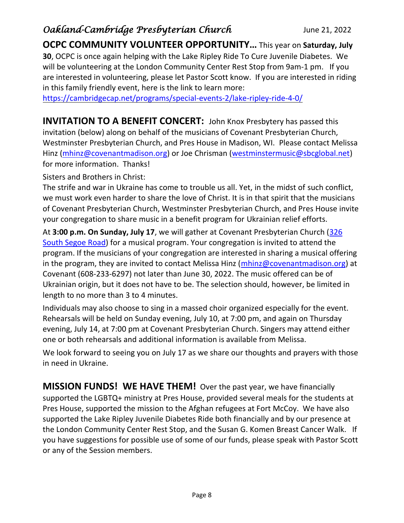**OCPC COMMUNITY VOLUNTEER OPPORTUNITY…** This year on **Saturday, July 30**, OCPC is once again helping with the Lake Ripley Ride To Cure Juvenile Diabetes. We will be volunteering at the London Community Center Rest Stop from 9am-1 pm. If you are interested in volunteering, please let Pastor Scott know. If you are interested in riding in this family friendly event, here is the link to learn more:

<https://cambridgecap.net/programs/special-events-2/lake-ripley-ride-4-0/>

**INVITATION TO A BENEFIT CONCERT:** John Knox Presbytery has passed this invitation (below) along on behalf of the musicians of Covenant Presbyterian Church, Westminster Presbyterian Church, and Pres House in Madison, WI. Please contact Melissa Hinz [\(mhinz@covenantmadison.org\)](mailto:mhinz@covenantmadison.org) or Joe Chrisman [\(westminstermusic@sbcglobal.net\)](mailto:westminstermusic@sbcglobal.net) for more information. Thanks!

Sisters and Brothers in Christ:

The strife and war in Ukraine has come to trouble us all. Yet, in the midst of such conflict, we must work even harder to share the love of Christ. It is in that spirit that the musicians of Covenant Presbyterian Church, Westminster Presbyterian Church, and Pres House invite your congregation to share music in a benefit program for Ukrainian relief efforts.

At **3:00 p.m. On Sunday, July 17**, we will gather at Covenant Presbyterian Church [\(326](https://www.google.com/maps/search/326+South+Segoe+Road?entry=gmail&source=g)  [South Segoe Road\)](https://www.google.com/maps/search/326+South+Segoe+Road?entry=gmail&source=g) for a musical program. Your congregation is invited to attend the program. If the musicians of your congregation are interested in sharing a musical offering in the program, they are invited to contact Melissa Hinz (*mhinz@covenantmadison.org*) at Covenant (608-233-6297) not later than June 30, 2022. The music offered can be of Ukrainian origin, but it does not have to be. The selection should, however, be limited in length to no more than 3 to 4 minutes.

Individuals may also choose to sing in a massed choir organized especially for the event. Rehearsals will be held on Sunday evening, July 10, at 7:00 pm, and again on Thursday evening, July 14, at 7:00 pm at Covenant Presbyterian Church. Singers may attend either one or both rehearsals and additional information is available from Melissa.

We look forward to seeing you on July 17 as we share our thoughts and prayers with those in need in Ukraine.

**MISSION FUNDS! WE HAVE THEM!** Over the past year, we have financially supported the LGBTQ+ ministry at Pres House, provided several meals for the students at Pres House, supported the mission to the Afghan refugees at Fort McCoy. We have also supported the Lake Ripley Juvenile Diabetes Ride both financially and by our presence at the London Community Center Rest Stop, and the Susan G. Komen Breast Cancer Walk. If you have suggestions for possible use of some of our funds, please speak with Pastor Scott or any of the Session members.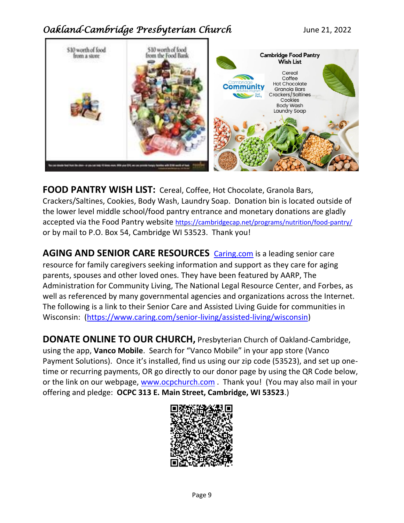

**FOOD PANTRY WISH LIST:** Cereal, Coffee, Hot Chocolate, Granola Bars, Crackers/Saltines, Cookies, Body Wash, Laundry Soap. Donation bin is located outside of the lower level middle school/food pantry entrance and monetary donations are gladly accepted via the Food Pantry website <https://cambridgecap.net/programs/nutrition/food-pantry/> or by mail to P.O. Box 54, Cambridge WI 53523. Thank you!

**AGING AND SENIOR CARE RESOURCES** [Caring.com](http://caring.com/) is a leading senior care resource for family caregivers seeking information and support as they care for aging parents, spouses and other loved ones. They have been featured by AARP, The Administration for Community Living, The National Legal Resource Center, and Forbes, as well as referenced by many governmental agencies and organizations across the Internet. The following is a link to their Senior Care and Assisted Living Guide for communities in Wisconsin: [\(https://www.caring.com/senior-living/assisted-living/wisconsin\)](https://www.caring.com/senior-living/assisted-living/wisconsin)

**DONATE ONLINE TO OUR CHURCH,** Presbyterian Church of Oakland-Cambridge, using the app, **Vanco Mobile**. Search for "Vanco Mobile" in your app store (Vanco Payment Solutions). Once it's installed, find us using our zip code (53523), and set up onetime or recurring payments, OR go directly to our donor page by using the QR Code below, or the link on our webpage, [www.ocpchurch.com](http://www.ocpchurch.com/) . Thank you! (You may also mail in your offering and pledge: **OCPC 313 E. Main Street, Cambridge, WI 53523**.)